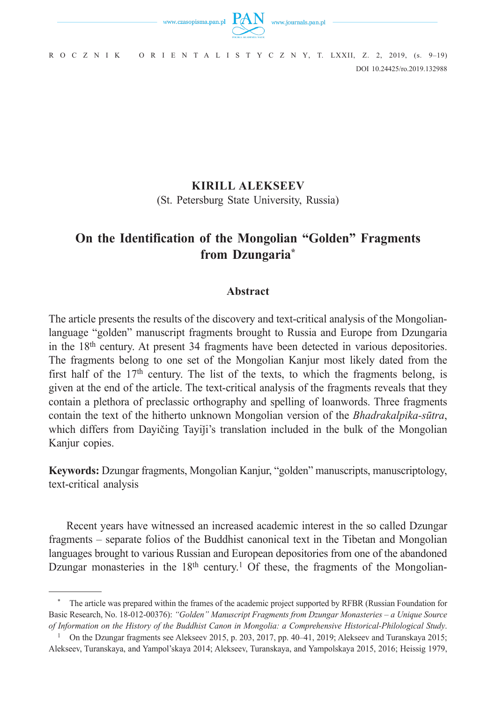

DOI 10.24425/ro.2019.132988 R O C Z N I K O R I E N T A L I S T Y C Z N Y, T. LXXII, Z. 2, 2019, (s. 9–19)

## **KIRILL ALEKSEEV**

(St. Petersburg State University, Russia)

# **On the Identification of the Mongolian "Golden" Fragments from Dzungaria\***

## **Abstract**

The article presents the results of the discovery and text-critical analysis of the Mongolianlanguage "golden" manuscript fragments brought to Russia and Europe from Dzungaria in the 18th century. At present 34 fragments have been detected in various depositories. The fragments belong to one set of the Mongolian Kanjur most likely dated from the first half of the  $17<sup>th</sup>$  century. The list of the texts, to which the fragments belong, is given at the end of the article. The text-critical analysis of the fragments reveals that they contain a plethora of preclassic orthography and spelling of loanwords. Three fragments contain the text of the hitherto unknown Mongolian version of the *Bhadrakalpika-sūtra*, which differs from Dayičing Tayiji's translation included in the bulk of the Mongolian Kanjur copies.

**Keywords:** Dzungar fragments, Mongolian Kanjur, "golden" manuscripts, manuscriptology, text-critical analysis

Recent years have witnessed an increased academic interest in the so called Dzungar fragments – separate folios of the Buddhist canonical text in the Tibetan and Mongolian languages brought to various Russian and European depositories from one of the abandoned Dzungar monasteries in the 18<sup>th</sup> century.<sup>1</sup> Of these, the fragments of the Mongolian-

<sup>\*</sup> The article was prepared within the frames of the academic project supported by RFBR (Russian Foundation for Basic Research, No. 18-012-00376): *"Golden" Manuscript Fragments from Dzungar Monasteries – a Unique Source of Information on the History of the Buddhist Canon in Mongolia: a Comprehensive Historical-Philological Study*.

<sup>&</sup>lt;sup>1</sup> On the Dzungar fragments see Alekseev 2015, p. 203, 2017, pp. 40–41, 2019; Alekseev and Turanskaya 2015; Alekseev, Turanskaya, and Yampol'skaya 2014; Alekseev, Turanskaya, and Yampolskaya 2015, 2016; Heissig 1979,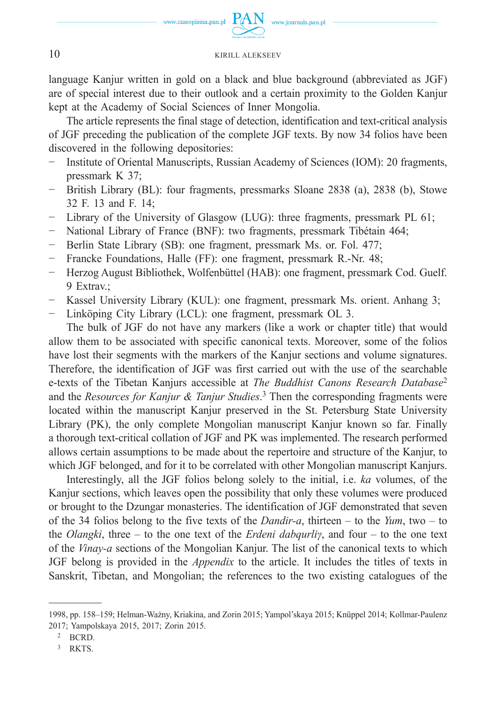

language Kanjur written in gold on a black and blue background (abbreviated as JGF) are of special interest due to their outlook and a certain proximity to the Golden Kanjur kept at the Academy of Social Sciences of Inner Mongolia.

The article represents the final stage of detection, identification and text-critical analysis of JGF preceding the publication of the complete JGF texts. By now 34 folios have been discovered in the following depositories:

- − Institute of Oriental Manuscripts, Russian Academy of Sciences (IOM): 20 fragments, pressmark K 37;
- − British Library (BL): four fragments, pressmarks Sloane 2838 (a), 2838 (b), Stowe 32 F. 13 and F. 14;
- Library of the University of Glasgow (LUG): three fragments, pressmark PL 61;
- − National Library of France (BNF): two fragments, pressmark Tibétain 464;
- Berlin State Library (SB): one fragment, pressmark Ms. or. Fol. 477;
- − Francke Foundations, Halle (FF): one fragment, pressmark R.-Nr. 48;
- − Herzog August Bibliothek, Wolfenbüttel (HAB): one fragment, pressmark Cod. Guelf. 9 Extrav.;
- Kassel University Library (KUL): one fragment, pressmark Ms. orient. Anhang 3;
- Linköping City Library (LCL): one fragment, pressmark OL 3.

The bulk of JGF do not have any markers (like a work or chapter title) that would allow them to be associated with specific canonical texts. Moreover, some of the folios have lost their segments with the markers of the Kanjur sections and volume signatures. Therefore, the identification of JGF was first carried out with the use of the searchable e-texts of the Tibetan Kanjurs accessible at *The Buddhist Canons Research Database*<sup>2</sup> and the *Resources for Kanjur & Tanjur Studies*. 3 Then the corresponding fragments were located within the manuscript Kanjur preserved in the St. Petersburg State University Library (PK), the only complete Mongolian manuscript Kanjur known so far. Finally a thorough text-critical collation of JGF and PK was implemented. The research performed allows certain assumptions to be made about the repertoire and structure of the Kanjur, to which JGF belonged, and for it to be correlated with other Mongolian manuscript Kanjurs.

Interestingly, all the JGF folios belong solely to the initial, i.e. *ka* volumes, of the Kanjur sections, which leaves open the possibility that only these volumes were produced or brought to the Dzungar monasteries. The identification of JGF demonstrated that seven of the 34 folios belong to the five texts of the *Dandir-a*, thirteen – to the *Yum*, two – to the *Olangki*, three – to the one text of the *Erdeni dabqurliγ*, and four – to the one text of the *Vinay-a* sections of the Mongolian Kanjur. The list of the canonical texts to which JGF belong is provided in the *Appendix* to the article. It includes the titles of texts in Sanskrit, Tibetan, and Mongolian; the references to the two existing catalogues of the

<sup>1998,</sup> pp. 158–159; Helman-Ważny, Kriakina, and Zorin 2015; Yampol'skaya 2015; Knüppel 2014; Kollmar-Paulenz 2017; Yampolskaya 2015, 2017; Zorin 2015.

<sup>2</sup> BCRD.

<sup>3</sup> RKTS.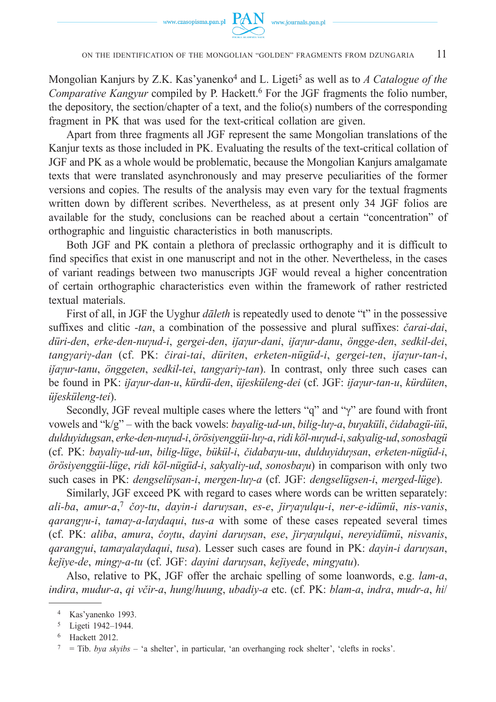

Mongolian Kanjurs by Z.K. Kas'yanenko<sup>4</sup> and L. Ligeti<sup>5</sup> as well as to A Catalogue of the *Comparative Kangyur* compiled by P. Hackett.<sup>6</sup> For the JGF fragments the folio number, the depository, the section/chapter of a text, and the folio(s) numbers of the corresponding fragment in PK that was used for the text-critical collation are given.

Apart from three fragments all JGF represent the same Mongolian translations of the Kanjur texts as those included in PK. Evaluating the results of the text-critical collation of JGF and PK as a whole would be problematic, because the Mongolian Kanjurs amalgamate texts that were translated asynchronously and may preserve peculiarities of the former versions and copies. The results of the analysis may even vary for the textual fragments written down by different scribes. Nevertheless, as at present only 34 JGF folios are available for the study, conclusions can be reached about a certain "concentration" of orthographic and linguistic characteristics in both manuscripts.

Both JGF and PK contain a plethora of preclassic orthography and it is difficult to find specifics that exist in one manuscript and not in the other. Nevertheless, in the cases of variant readings between two manuscripts JGF would reveal a higher concentration of certain orthographic characteristics even within the framework of rather restricted textual materials.

First of all, in JGF the Uyghur *dāleth* is repeatedly used to denote "t" in the possessive suffixes and clitic *-tan*, a combination of the possessive and plural suffixes: *čarai-dai*, *düri-den*, *erke-den-nuγud-i*, *gergei-den*, *iǰaγur-dani*, *iǰaγur-danu*, *öngge-den*, *sedkil-dei*, *tangγariγ-dan* (cf. PK: *čirai-tai*, *düriten*, *erketen-nügüd-i*, *gergei-ten*, *iǰaγur-tan-i*, *iǰaγur-tanu*, *önggeten*, *sedkil-tei*, *tangγariγ-tan*). In contrast, only three such cases can be found in PK: *iǰaγur-dan-u*, *kürdü-den*, *üǰesküleng-dei* (cf. JGF: *iǰaγur-tan-u*, *kürdüten*, *üǰesküleng-tei*).

Secondly, JGF reveal multiple cases where the letters "q" and "γ" are found with front vowels and "k/g" – with the back vowels: *bayalig-ud-un*, *bilig-luγ-a*, *buγaküli*, *čidabagü-üü*, *dulduyidugsan*, *erke-den-nuγud-i*, *örösiyenggüi-luγ-a*, *ridi köl-nuγud-i*, *sakyalig-ud*, *sonosbagü* (cf. PK: *bayaliγ-ud-un*, *bilig-lüge*, *bükül-i*, *čidabaγu-uu*, *dulduyiduγsan*, *erketen-nügüd-i*, *örösiyenggüi-lüge*, *ridi köl-nügüd-i*, *sakyaliγ-ud*, *sonosbaγu*) in comparison with only two such cases in PK: *dengselüγsan-i*, *mergen-luγ-a* (cf. JGF: *dengselügsen-i*, *merged-lüge*).

Similarly, JGF exceed PK with regard to cases where words can be written separately: *ali-ba*, *amur-a*, <sup>7</sup> *čoγ-tu*, *dayin-i daruγsan*, *es-e*, *ǰirγaγulqu-i*, *ner-e-idümü*, *nis-vanis*, *qarangγu-i*, *tamaγ-a-laγdaqui*, *tus-a* with some of these cases repeated several times (cf. PK: *aliba*, *amura*, *čoγtu*, *dayini daruγsan*, *ese*, *ǰirγaγulqui*, *nereyidümü*, *nisvanis*, *qarangγui*, *tamaγalaγdaqui*, *tusa*). Lesser such cases are found in PK: *dayin-i daruγsan*, *keǰiye-de*, *mingγ-a-tu* (cf. JGF: *dayini daruγsan*, *keǰiyede*, *mingγatu*).

Also, relative to PK, JGF offer the archaic spelling of some loanwords, e.g. *lam-a*, *indira*, *mudur-a*, *qi včir-a*, *hung*/*huung*, *ubadiy-a* etc. (cf. PK: *blam-a*, *indra*, *mudr-a*, *hi*/

<sup>4</sup> Kas'yanenko 1993.

<sup>5</sup> Ligeti 1942–1944.

<sup>6</sup> Hackett 2012.

<sup>7 =</sup> Tib. *bya skyibs* – 'a shelter', in particular, 'an overhanging rock shelter', 'clefts in rocks'.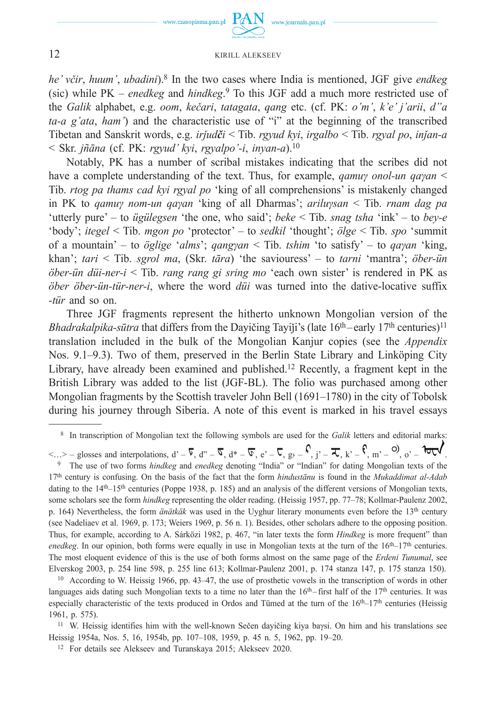

*he' včir*, *huum'*, *ubadini*).8 In the two cases where India is mentioned, JGF give *endkeg* (sic) while PK – *enedkeg* and *hindkeg*. 9 To this JGF add a much more restricted use of the *Galik* alphabet, e.g. *oom*, *kečari*, *tatagata*, *qang* etc. (cf. PK: *o'm'*, *k'e' j'arii*, *d"a ta-a g'ata*, *ham'*) and the characteristic use of "i" at the beginning of the transcribed Tibetan and Sanskrit words, e.g. *irǰudči* < Tib. *rgyud kyi*, *irgalbo* < Tib. *rgyal po*, *inǰan-a* < Skr. *jñāna* (cf. PK: *rgyud' kyi*, *rgyalpo'-i*, *inyan-a*).10

Notably, PK has a number of scribal mistakes indicating that the scribes did not have a complete understanding of the text. Thus, for example, *qamuγ onol-un qaγan* < Tib. *rtog pa thams cad kyi rgyal po* 'king of all comprehensions' is mistakenly changed in PK to *qamuγ nom-un qaγan* 'king of all Dharmas'; *ariluγsan* < Tib. *rnam dag pa* 'utterly pure' – to *ügülegsen* 'the one, who said'; *beke* < Tib. *snag tsha* 'ink' – to *bey-e* 'body'; *itegel* < Tib. *mgon po* 'protector' – to *sedkil* 'thought'; *ölge* < Tib. *spo* 'summit of a mountain' – to *öglige* '*alms*'; *qangγan* < Tib. *tshim* 'to satisfy' – to *qaγan* 'king, khan'; *tari* < Tib. *sgrol ma*, (Skr. *tāra*) 'the saviouress' – to *tarni* 'mantra'; *öber-ün öber-ün düi-ner-i* < Tib. *rang rang gi sring mo* 'each own sister' is rendered in PK as *öber öber-ün-tür-ner-i*, where the word *düi* was turned into the dative-locative suffix *-tür* and so on.

Three JGF fragments represent the hitherto unknown Mongolian version of the *Bhadrakalpika-sūtra* that differs from the Dayičing Tayiji's (late  $16<sup>th</sup>$ -early  $17<sup>th</sup>$  centuries)<sup>11</sup> translation included in the bulk of the Mongolian Kanjur copies (see the *Appendix* Nos. 9.1–9.3). Two of them, preserved in the Berlin State Library and Linköping City Library, have already been examined and published.12 Recently, a fragment kept in the British Library was added to the list (JGF-BL). The folio was purchased among other Mongolian fragments by the Scottish traveler John Bell (1691–1780) in the city of Tobolsk during his journey through Siberia. A note of this event is marked in his travel essays

 $\langle ... \rangle$  – glosses and interpolations,  $d' - \overline{V}$ ,  $d'' - \overline{V}$ ,  $d^* - \overline{V}$ ,  $e' - \overline{V}$ ,  $g' - \overline{V}$ ,  $g' - \overline{V}$ ,  $h' - \overline{V}$ ,  $h'' - \overline{V}$ ,  $h'' - \overline{V}$ ,  $h'' - \overline{V}$ ,  $h'' - \overline{V}$ ,  $h'' - \overline{V}$ ,  $h'' - \overline{V}$ ,  $h'' - \overline{V}$ , 17th century is confusing. On the basis of the fact that the form *hindustānu* is found in the *Mukaddimat al-Adab* dating to the 14<sup>th</sup>–15<sup>th</sup> centuries (Poppe 1938, p. 185) and an analysis of the different versions of Mongolian texts, some scholars see the form *hindkeg* representing the older reading. (Heissig 1957, pp. 77–78; Kollmar-Paulenz 2002, p. 164) Nevertheless, the form *änätkäk* was used in the Uyghur literary monuments even before the 13th century (see Nadeliaev et al. 1969, p. 173; Weiers 1969, p. 56 n. 1). Besides, other scholars adhere to the opposing position. Thus, for example, according to A. Sárközi 1982, p. 467, "in later texts the form *Hindkeg* is more frequent" than *enedkeg*. In our opinion, both forms were equally in use in Mongolian texts at the turn of the  $16th-17th$  centuries. The most eloquent evidence of this is the use of both forms almost on the same page of the *Erdeni Tunumal*, see Elverskog 2003, p. 254 line 598, p. 255 line 613; Kollmar-Paulenz 2001, p. 174 stanza 147, p. 175 stanza 150).

<sup>10</sup> According to W. Heissig 1966, pp. 43–47, the use of prosthetic vowels in the transcription of words in other languages aids dating such Mongolian texts to a time no later than the  $16<sup>th</sup>$ –first half of the  $17<sup>th</sup>$  centuries. It was especially characteristic of the texts produced in Ordos and Tümed at the turn of the  $16th-17th$  centuries (Heissig 1961, p. 575).

<sup>11</sup> W. Heissig identifies him with the well-known Sečen dayičing kiya baysi. On him and his translations see Heissig 1954a, Nos. 5, 16, 1954b, pp. 107–108, 1959, p. 45 n. 5, 1962, pp. 19–20.

12 For details see Alekseev and Turanskaya 2015; Alekseev 2020.

 <sup>8</sup> In transcription of Mongolian text the following symbols are used for the *Galik* letters and editorial marks: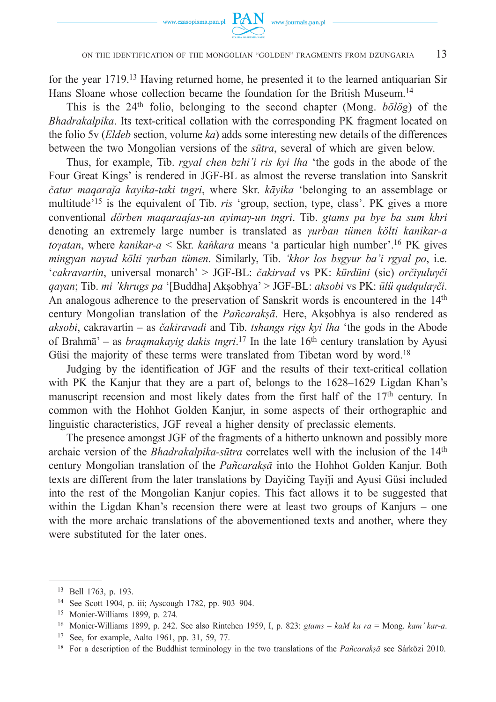

#### ON THE IDENTIFICATION OF THE MONGOLIAN "GOLDEN" FRAGMENTS FROM DZUNGARIA 13

for the year 1719.13 Having returned home, he presented it to the learned antiquarian Sir Hans Sloane whose collection became the foundation for the British Museum.14

This is the 24th folio, belonging to the second chapter (Mong. *bölög*) of the *Bhadrakalpika*. Its text-critical collation with the corresponding PK fragment located on the folio 5v (*Eldeb* section, volume *ka*) adds some interesting new details of the differences between the two Mongolian versions of the *sūtra*, several of which are given below.

Thus, for example, Tib. *rgyal chen bzhi'i ris kyi lha* 'the gods in the abode of the Four Great Kings' is rendered in JGF-BL as almost the reverse translation into Sanskrit *čatur maqaraǰ a kayika-taki tngri*, where Skr. *kāyika* 'belonging to an assemblage or multitude'15 is the equivalent of Tib. *ris* 'group, section, type, class'. PK gives a more conventional *dörben maqaraaǰ as-un ayimaγ-un tngri*. Tib. *gtams pa bye ba sum khri* denoting an extremely large number is translated as *γurban tümen költi kanikar-a toγatan*, where *kanikar-a* < Skr. *kaṅkara* means 'a particular high number'.16 PK gives *mingγan nayud költi γurban tümen*. Similarly, Tib. *'khor los bsgyur ba'i rgyal po*, i.e. '*cakravartin*, universal monarch' > JGF-BL: *čakirvad* vs PK: *kürdüni* (sic) *orčiγuluγči qaγan*; Tib. *mi 'khrugs pa* '[Buddha] Akṣobhya' > JGF-BL: *aksobi* vs PK: *ülü qudqulaγči*. An analogous adherence to the preservation of Sanskrit words is encountered in the 14<sup>th</sup> century Mongolian translation of the *Pañcarakṣā*. Here, Akṣobhya is also rendered as *aksobi*, cakravartin – as *čakiravadi* and Tib. *tshangs rigs kyi lha* 'the gods in the Abode of Brahmā' – as *braqmakayig dakis tngri*.<sup>17</sup> In the late 16<sup>th</sup> century translation by Ayusi Güsi the majority of these terms were translated from Tibetan word by word.<sup>18</sup>

Judging by the identification of JGF and the results of their text-critical collation with PK the Kanjur that they are a part of, belongs to the 1628–1629 Ligdan Khan's manuscript recension and most likely dates from the first half of the  $17<sup>th</sup>$  century. In common with the Hohhot Golden Kanjur, in some aspects of their orthographic and linguistic characteristics, JGF reveal a higher density of preclassic elements.

The presence amongst JGF of the fragments of a hitherto unknown and possibly more archaic version of the *Bhadrakalpika-sūtra* correlates well with the inclusion of the 14th century Mongolian translation of the *Pañcarakṣā* into the Hohhot Golden Kanjur. Both texts are different from the later translations by Dayičing Tayiji and Ayusi Güsi included into the rest of the Mongolian Kanjur copies. This fact allows it to be suggested that within the Ligdan Khan's recension there were at least two groups of Kanjurs – one with the more archaic translations of the abovementioned texts and another, where they were substituted for the later ones.

<sup>13</sup> Bell 1763, p. 193.

<sup>14</sup> See Scott 1904, p. iii; Ayscough 1782, pp. 903–904.

<sup>15</sup> Monier-Williams 1899, p. 274.

<sup>16</sup> Monier-Williams 1899, p. 242. See also Rintchen 1959, I, p. 823: *gtams* – *kaM ka ra* = Mong. *kam' kar-a*.

<sup>17</sup> See, for example, Aalto 1961, pp. 31, 59, 77.

<sup>18</sup> For a description of the Buddhist terminology in the two translations of the *Pañcarakṣā* see Sárközi 2010.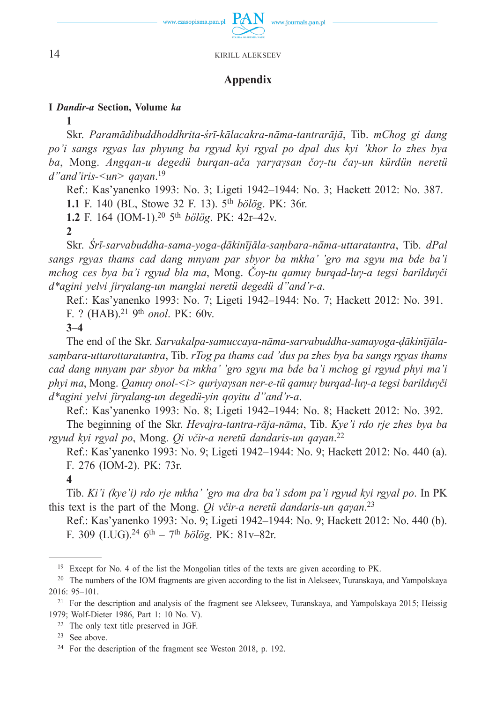

## **Appendix**

#### **I** *Dandir-a* **Section, Volume** *ka*

**1**

Skr. *Paramādibuddhoddhrita-śrī-kālacakra-nāma-tantrarājā*, Tib. *mСhog gi dang po'i sangs rgyas las phyung ba rgyud kyi rgyal po dpal dus kyi 'khor lo zhes bya ba*, Mong. *Angqan-u degedü burqan-ača γarγaγsan čoγ-tu čaγ-un kürdün neretü d"and'iris-<un> qaγan*. 19

Ref.: Kas'yanenko 1993: No. 3; Ligeti 1942–1944: No. 3; Hackett 2012: No. 387. **1.1** F. 140 (BL, Stowe 32 F. 13). 5th *bölög*. PK: 36r.

**1.2** F. 164 (IOM-1).20 5th *bölög*. PK: 42r–42v.

**2**

Skr. *Śrī-sarvabuddha-sama-yoga-ḍākinījāla-saṃbara-nāma-uttaratantra*, Tib. *dPal sangs rgyas thams cad dang mnyam par sbyor ba mkha' 'gro ma sgyu ma bde ba'i mchog ces bya ba'i rgyud bla ma*, Mong. *Čoγ-tu qamuγ burqad-luγ-a tegsi barilduγči d\*agini yelvi ǰirγalang-un manglai neretü degedü d"and'r-a*.

Ref.: Kas'yanenko 1993: No. 7; Ligeti 1942–1944: No. 7; Hackett 2012: No. 391. F. ? (HAB).21 9th *onol*. PK: 60v.

**3–4**

The end of the Skr. *Sarvakalpa-samuccaya-nāma-sarvabuddha-samayoga-ḍākinījālasaṃbara-uttarottaratantra*, Tib. *rTog pa thams cad 'dus pa zhes bya ba sangs rgyas thams cad dang mnyam par sbyor ba mkha' 'gro sgyu ma bde ba'i mchog gi rgyud phyi ma'i phyi ma*, Mong. *Qamuγ onol-<i> quriyaγsan ner-e-tü qamuγ burqad-luγ-a tegsi barilduγči d\*agini yelvi ǰirγalang-un degedü-yin qoyitu d"and'r-a*.

Ref.: Kas'yanenko 1993: No. 8; Ligeti 1942–1944: No. 8; Hackett 2012: No. 392.

The beginning of the Skr. *Hevajra-tantra-rāja-nāma*, Tib. *Kye'i rdo rje zhes bya ba rgyud kyi rgyal po*, Mong. *Qi včir-a neretü dandaris-un qaγan*. 22

Ref.: Kas'yanenko 1993: No. 9; Ligeti 1942–1944: No. 9; Hackett 2012: No. 440 (a). F. 276 (IOM-2). PK: 73r.

**4**

Tib. *Ki'i (kye'i) rdo rje mkha' 'gro ma dra ba'i sdom pa'i rgyud kyi rgyal po*. In PK this text is the part of the Mong. *Qi včir-a neretü dandaris-un qaγan*. 23

Ref.: Kas'yanenko 1993: No. 9; Ligeti 1942–1944: No. 9; Hackett 2012: No. 440 (b). F. 309 (LUG).<sup>24</sup> 6<sup>th</sup> – 7<sup>th</sup> *bölög*. PK: 81v–82r.

22 The only text title preserved in JGF.

<sup>&</sup>lt;sup>19</sup> Except for No. 4 of the list the Mongolian titles of the texts are given according to PK.

<sup>20</sup> The numbers of the IOM fragments are given according to the list in Alekseev, Turanskaya, and Yampolskaya 2016: 95–101.

<sup>&</sup>lt;sup>21</sup> For the description and analysis of the fragment see Alekseev, Turanskaya, and Yampolskaya 2015; Heissig 1979; Wolf-Dieter 1986, Part 1: 10 No. V).

<sup>23</sup> See above.

<sup>24</sup> For the description of the fragment see Weston 2018, p. 192.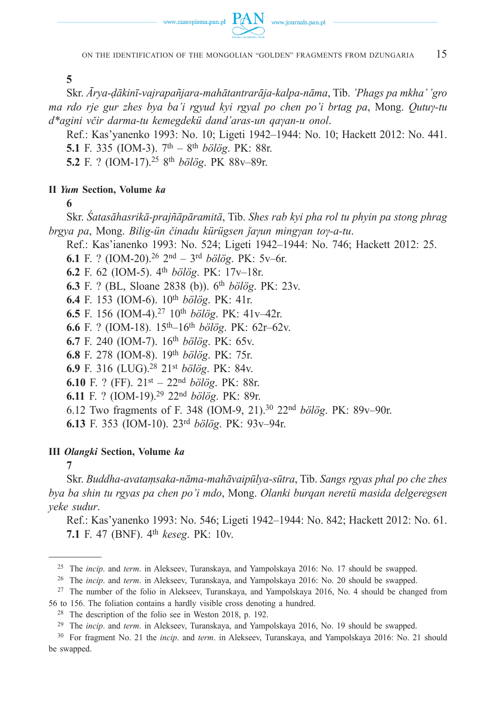



ON THE IDENTIFICATION OF THE MONGOLIAN "GOLDEN" FRAGMENTS FROM DZUNGARIA 15

**5**

Skr. *Ārya-ḍākinī-vajrapañjara-mahātantrarāja-kalpa-nāma*, Tib. *'Phags pa mkha' 'gro ma rdo rje gur zhes bya ba'i rgyud kyi rgyal po chen po'i brtag pa*, Mong. *Qutuγ-tu d\*agini včir darma-tu kemegdekü dand'aras-un qaγan-u onol*.

Ref.: Kas'yanenko 1993: No. 10; Ligeti 1942–1944: No. 10; Hackett 2012: No. 441. **5.1** F. 335 (IOM-3). 7th – 8th *bölög*. PK: 88r.

**5.2** F. ? (IOM-17).25 8th *bölög*. PK 88v–89r.

#### **II** *Yum* **Section, Volume** *ka*

**6**

Skr. *Śatasāhasrikā-prajñāpāramitā*, Tib. *Shes rab kyi pha rol tu phyin pa stong phrag brgya pa*, Mong. *Bilig-ün činadu kürügsen ǰaγun mingγan toγ-a-tu*.

Ref.: Kas'ianenko 1993: No. 524; Ligeti 1942–1944: No. 746; Hackett 2012: 25.

**6.1** F. ? (IOM-20).26 2nd – 3rd *bölög*. PK: 5v–6r.

**6.2** F. 62 (IOM-5). 4th *bölög*. PK: 17v–18r.

**6.3** F. ? (BL, Sloane 2838 (b)). 6th *bölög*. PK: 23v.

**6.4** F. 153 (IOM-6). 10th *bölög*. PK: 41r.

**6.5** F. 156 (IOM-4).27 10th *bölög*. PK: 41v–42r.

**6.6** F. ? (IOM-18). 15th–16th *bölög*. PK: 62r–62v.

**6.7** F. 240 (IOM-7). 16th *bölög*. PK: 65v.

**6.8** F. 278 (IOM-8). 19th *bölög*. PK: 75r.

**6.9** F. 316 (LUG).28 21st *bölög*. PK: 84v.

**6.10** F. ? (FF). 21st – 22nd *bölög*. PK: 88r.

**6.11** F. ? (IOM-19).29 22nd *bölög*. PK: 89r.

6.12 Two fragments of F. 348 (IOM-9, 21).30 22nd *bölög*. PK: 89v–90r.

**6.13** F. 353 (IOM-10). 23rd *bölög*. PK: 93v–94r.

## **III** *Olangki* **Section, Volume** *ka*

**7**

Skr. *Buddha-avataṃsaka-nāma-mahāvaipūlya-sūtra*, Tib. *Sangs rgyas phal po che zhes bya ba shin tu rgyas pa chen po'i mdo*, Mong. *Olanki burqan neretü masida delgeregsen yeke sudur*.

Ref.: Kas'yanenko 1993: No. 546; Ligeti 1942–1944: No. 842; Hackett 2012: No. 61. **7.1** F. 47 (BNF). 4th *keseg*. PK: 10v.

26 The *incip*. and *term*. in Alekseev, Turanskaya, and Yampolskaya 2016: No. 20 should be swapped.

27 The number of the folio in Alekseev, Turanskaya, and Yampolskaya 2016, No. 4 should be changed from

56 to 156. The foliation contains a hardly visible cross denoting a hundred.

<sup>25</sup> The *incip*. and *term*. in Alekseev, Turanskaya, and Yampolskaya 2016: No. 17 should be swapped.

<sup>28</sup> The description of the folio see in Weston 2018, p. 192.

<sup>29</sup> The *incip*. and *term*. in Alekseev, Turanskaya, and Yampolskaya 2016, No. 19 should be swapped.

<sup>30</sup> For fragment No. 21 the *incip*. and *term*. in Alekseev, Turanskaya, and Yampolskaya 2016: No. 21 should be swapped.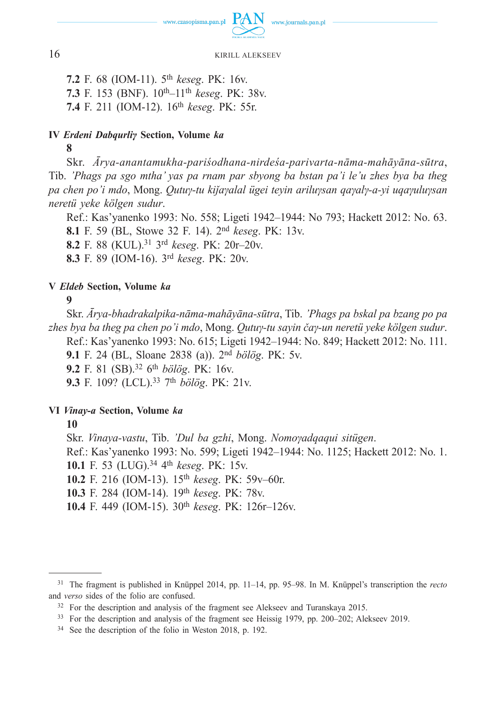

**7.2** F. 68 (IOM-11). 5th *keseg*. PK: 16v. **7.3** F. 153 (BNF). 10th–11th *keseg*. PK: 38v. **7.4** F. 211 (IOM-12). 16th *keseg*. PK: 55r.

#### **IV** *Erdeni Dabqurliγ* **Section, Volume** *ka*

**8**

Skr. *Ārya-anantamukha-pariśodhana-nirdeśa-parivarta-nāma-mahāyāna-sūtra*, Tib. *'Phags pa sgo mtha' yas pa rnam par sbyong ba bstan pa'i le'u zhes bya ba theg pa chen po'i mdo*, Mong. *Qutuγ-tu kiǰaγalal ügei teyin ariluγsan qaγalγ-a-yi uqaγuluγsan neretü yeke kölgen sudur*.

Ref.: Kas'yanenko 1993: No. 558; Ligeti 1942–1944: No 793; Hackett 2012: No. 63. **8.1** F. 59 (BL, Stowe 32 F. 14). 2nd *keseg*. PK: 13v. **8.2** F. 88 (KUL).31 3rd *keseg*. PK: 20r–20v.

**8.3** F. 89 (IOM-16). 3rd *keseg*. PK: 20v.

#### **V** *Eldeb* **Section, Volume** *ka*

**9**

Skr. *Ārya-bhadrakalpika-nāma-mahāyāna-sūtra*, Tib. *'Phags pa bskal pa bzang po pa zhes bya ba theg pa chen po'i mdo*, Mong. *Qutuγ-tu sayin čaγ-un neretü yeke kölgen sudur*. Ref.: Kas'yanenko 1993: No. 615; Ligeti 1942–1944: No. 849; Hackett 2012: No. 111. **9.1** F. 24 (BL, Sloane 2838 (a)). 2nd *bölög*. PK: 5v. **9.2** F. 81 (SB).32 6th *bölög*. PK: 16v. **9.3** F. 109? (LCL).33 7th *bölög*. PK: 21v.

#### **VI** *Vinay-a* **Section, Volume** *ka*

**10**

Skr. *Vinaya-vastu*, Tib. *'Dul ba gzhi*, Mong. *Nomoγadqaqui sitügen*. Ref.: Kas'yanenko 1993: No. 599; Ligeti 1942–1944: No. 1125; Hackett 2012: No. 1. **10.1** F. 53 (LUG).34 4th *keseg*. PK: 15v. **10.2** F. 216 (IOM-13). 15th *keseg*. PK: 59v–60r. **10.3** F. 284 (IOM-14). 19th *keseg*. PK: 78v. **10.4** F. 449 (IOM-15). 30th *keseg*. PK: 126r–126v.

<sup>31</sup> The fragment is published in Knüppel 2014, pp. 11–14, pp. 95–98. In M. Knüppel's transcription the *recto* and *verso* sides of the folio are confused.

 $32$  For the description and analysis of the fragment see Alekseev and Turanskaya 2015.

<sup>33</sup> For the description and analysis of the fragment see Heissig 1979, pp. 200–202; Alekseev 2019.

<sup>34</sup> See the description of the folio in Weston 2018, p. 192.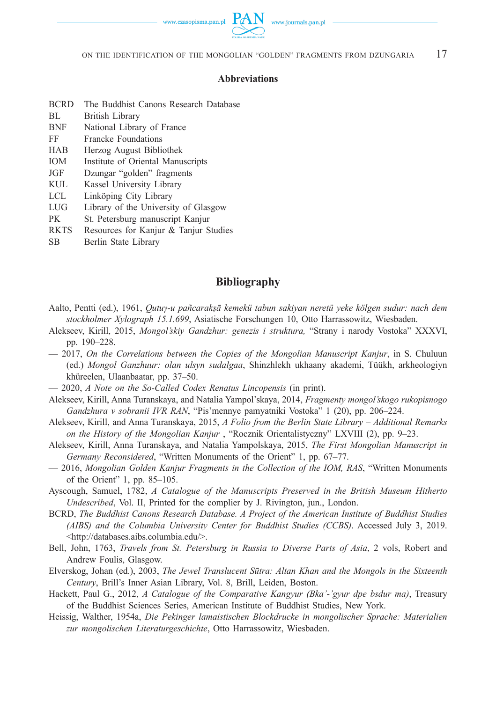

#### **Abbreviations**

- BCRD The Buddhist Canons Research Database
- BL British Library
- BNF National Library of France
- FF Francke Foundations
- HAB Herzog August Bibliothek
- IOM Institute of Oriental Manuscripts
- JGF Dzungar "golden" fragments
- KUL Kassel University Library
- LCL Linköping City Library
- LUG Library of the University of Glasgow
- PK St. Petersburg manuscript Kanjur
- RKTS Resources for Kanjur & Tanjur Studies
- SB Berlin State Library

#### **Bibliography**

- Aalto, Pentti (ed.), 1961, *Qutuγ-u pañcarakṣā kemekü tabun sakiyan neretü yeke kölgen sudur: nach dem stockholmer Xylograph 15.1.699*, Asiatische Forschungen 10, Otto Harrassowitz, Wiesbaden.
- Alekseev, Kirill, 2015, *Mongol'skiy Gandzhur: genezis i struktura,* "Strany i narody Vostoka" XXXVI, pp. 190–228.
- 2017, *On the Correlations between the Copies of the Mongolian Manuscript Kanjur*, in S. Chuluun (ed.) *Mongol Ganzhuur: olan ulsyn sudalgaa*, Shinzhlekh ukhaany akademi, Tüükh, arkheologiyn khüreelen, Ulaanbaatar, pp. 37–50.
- 2020, *A Note on the So-Called Codex Renatus Lincopensis* (in print).
- Alekseev, Kirill, Anna Turanskaya, and Natalia Yampol'skaya, 2014, *Fragmenty mongol'skogo rukopisnogo Gandzhura v sobranii IVR RAN*, "Pis'mennye pamyatniki Vostoka" 1 (20), pp. 206–224.
- Alekseev, Kirill, and Anna Turanskaya, 2015, *A Folio from the Berlin State Library Additional Remarks on the History of the Mongolian Kanjur* , "Rocznik Orientalistyczny" LXVIII (2), pp. 9–23.
- Alekseev, Kirill, Anna Turanskaya, and Natalia Yampolskaya, 2015, *The First Mongolian Manuscript in Germany Reconsidered*, "Written Monuments of the Orient" 1, pp. 67–77.
- 2016, *Mongolian Golden Kanjur Fragments in the Collection of the IOM, RAS*, "Written Monuments of the Orient" 1, pp. 85–105.
- Ayscough, Samuel, 1782, *A Catalogue of the Manuscripts Preserved in the British Museum Hitherto Undescribed*, Vol. II, Printed for the complier by J. Rivington, jun., London.
- BCRD, *The Buddhist Canons Research Database. A Project of the American Institute of Buddhist Studies (AIBS) and the Columbia University Center for Buddhist Studies (CCBS)*. Accessed July 3, 2019. <http://databases.aibs.columbia.edu/>.
- Bell, John, 1763, *Travels from St. Petersburg in Russia to Diverse Parts of Asia*, 2 vols, Robert and Andrew Foulis, Glasgow.
- Elverskog, Johan (ed.), 2003, *The Jewel Translucent Sūtra: Altan Khan and the Mongols in the Sixteenth Century*, Brill's Inner Asian Library, Vol. 8, Brill, Leiden, Boston.
- Hackett, Paul G., 2012, *A Catalogue of the Comparative Kangyur (Bka'-'gyur dpe bsdur ma)*, Treasury of the Buddhist Sciences Series, American Institute of Buddhist Studies, New York.
- Heissig, Walther, 1954a, *Die Pekinger lamaistischen Blockdrucke in mongolischer Sprache: Materialien zur mongolischen Literaturgeschichte*, Otto Harrassowitz, Wiesbaden.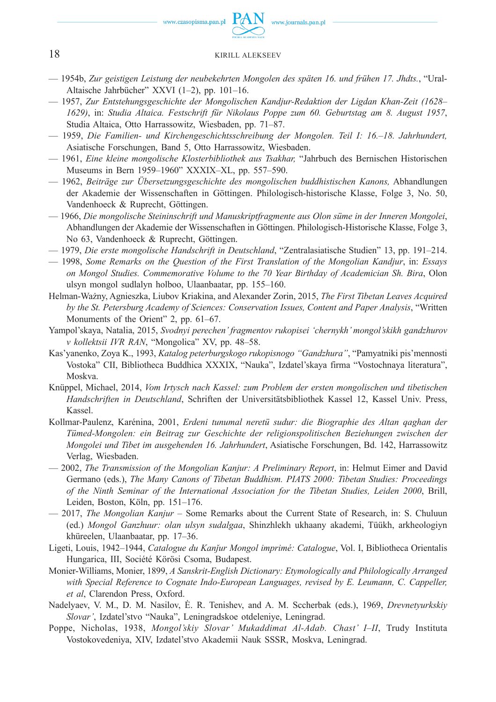

- 1954b, *Zur geistigen Leistung der neubekehrten Mongolen des späten 16. und frühen 17. Jhdts.*, "Ural-Altaische Jahrbücher" XXVI (1–2), pp. 101–16.
- 1957, *Zur Entstehungsgeschichte der Mongolischen Kandjur-Redaktion der Ligdan Khan-Zeit (1628– 1629)*, in: *Studia Altaica. Festschrift für Nikolaus Poppe zum 60. Geburtstag am 8. August 1957*, Studia Altaica, Otto Harrassowitz, Wiesbaden, pp. 71–87.
- 1959, *Die Familien- und Kirchengeschichtsschreibung der Mongolen. Teil I: 16.–18. Jahrhundert,* Asiatische Forschungen, Band 5, Otto Harrassowitz, Wiesbaden.
- 1961, *Eine kleine mongolische Klosterbibliothek aus Tsakhar,* "Jahrbuch des Bernischen Historischen Museums in Bern 1959–1960" XXXIX–XL, pp. 557–590.
- 1962, *Beiträge zur Übersetzungsgeschichte des mongolischen buddhistischen Kanons,* Abhandlungen der Akademie der Wissenschaften in Göttingen. Philologisch-historische Klasse, Folge 3, No. 50, Vandenhoeck & Ruprecht, Göttingen.
- 1966, *Die mongolische Steininschrift und Manuskriptfragmente aus Olon süme in der Inneren Mongolei*, Abhandlungen der Akademie der Wissenschaften in Göttingen. Philologisch-Historische Klasse, Folge 3, No 63, Vandenhoeck & Ruprecht, Göttingen.
- 1979, *Die erste mongolische Handschrift in Deutschland*, "Zentralasiatische Studien" 13, pp. 191–214.
- 1998, *Some Remarks on the Question of the First Translation of the Mongolian Kandjur*, in: *Essays on Mongol Studies. Commemorative Volume to the 70 Year Birthday of Academician Sh. Bira*, Olon ulsyn mongol sudlalyn holboo, Ulaanbaatar, pp. 155–160.
- Helman-Ważny, Agnieszka, Liubov Kriakina, and Alexander Zorin, 2015, *The First Tibetan Leaves Acquired by the St. Petersburg Academy of Sciences: Conservation Issues, Content and Paper Analysis*, "Written Monuments of the Orient" 2, pp. 61–67.
- Yampol'skaya, Natalia, 2015, *Svodnyi perechen' fragmentov rukopisei 'chernykh' mongol'skikh gandzhurov v kollektsii IVR RAN*, "Mongolica" XV, pp. 48–58.
- Kas'yanenko, Zoya K., 1993, *Katalog peterburgskogo rukopisnogo "Gandzhura"*, "Pamyatniki pis'mennosti Vostoka" CII, Bibliotheca Buddhica XXXIX, "Nauka", Izdatel'skaya firma "Vostochnaya literatura", Moskva.
- Knüppel, Michael, 2014, *Vom Irtysch nach Kassel: zum Problem der ersten mongolischen und tibetischen Handschriften in Deutschland*, Schriften der Universitätsbibliothek Kassel 12, Kassel Univ. Press, Kassel.
- Kollmar-Paulenz, Karénina, 2001, *Erdeni tunumal neretü sudur: die Biographie des Altan qaghan der Tümed-Mongolen: ein Beitrag zur Geschichte der religionspolitischen Beziehungen zwischen der Mongolei und Tibet im ausgehenden 16. Jahrhundert*, Asiatische Forschungen, Bd. 142, Harrassowitz Verlag, Wiesbaden.
- 2002, *The Transmission of the Mongolian Kanjur: A Preliminary Report*, in: Helmut Eimer and David Germano (eds.), *The Many Canons of Tibetan Buddhism. PIATS 2000: Tibetan Studies: Proceedings of the Ninth Seminar of the International Association for the Tibetan Studies, Leiden 2000*, Brill, Leiden, Boston, Köln, pp. 151–176.
- 2017, *The Mongolian Kanjur* Some Remarks about the Current State of Research, in: S. Chuluun (ed.) *Mongol Ganzhuur: olan ulsyn sudalgaa*, Shinzhlekh ukhaany akademi, Tüükh, arkheologiyn khüreelen, Ulaanbaatar, pp. 17–36.
- Ligeti, Louis, 1942–1944, *Catalogue du Kanǰur Mongol imprimé: Catalogue*, Vol. I, Bibliotheca Orientalis Hungarica, III, Société Körösi Csoma, Budapest.
- Monier-Williams, Monier, 1899, *A Sanskrit-English Dictionary: Etymologically and Philologically Arranged with Special Reference to Cognate Indo-European Languages, revised by E. Leumann, C. Cappeller, et al*, Clarendon Press, Oxford.
- Nadelyaev, V. M., D. M. Nasilov, Ė. R. Tenishev, and A. M. Sccherbak (eds.), 1969, *Drevnetyurkskiy Slovar'*, Izdatel'stvo "Nauka", Leningradskoe otdeleniye, Leningrad.
- Poppe, Nicholas, 1938, *Mongol'skiy Slovar' Mukaddimat Al-Adab. Chast' I–II*, Trudy Instituta Vostokovedeniya, XIV, Izdatel'stvo Akademii Nauk SSSR, Moskva, Leningrad.